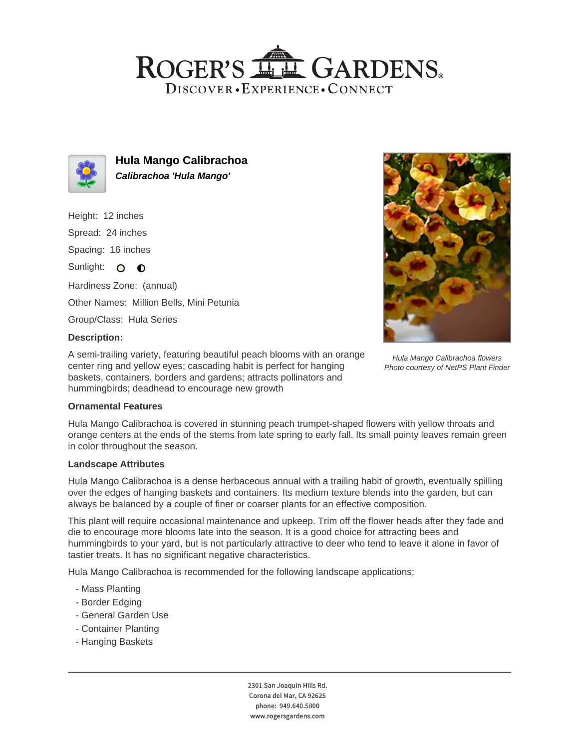## ROGER'S LLE GARDENS. DISCOVER · EXPERIENCE · CONNECT



**Hula Mango Calibrachoa Calibrachoa 'Hula Mango'**

Height: 12 inches

Spread: 24 inches

Spacing: 16 inches

Sunlight: O O

Hardiness Zone: (annual) Other Names: Million Bells, Mini Petunia

Group/Class: Hula Series

### **Description:**

A semi-trailing variety, featuring beautiful peach blooms with an orange center ring and yellow eyes; cascading habit is perfect for hanging baskets, containers, borders and gardens; attracts pollinators and hummingbirds; deadhead to encourage new growth



Hula Mango Calibrachoa is covered in stunning peach trumpet-shaped flowers with yellow throats and orange centers at the ends of the stems from late spring to early fall. Its small pointy leaves remain green in color throughout the season.

#### **Landscape Attributes**

Hula Mango Calibrachoa is a dense herbaceous annual with a trailing habit of growth, eventually spilling over the edges of hanging baskets and containers. Its medium texture blends into the garden, but can always be balanced by a couple of finer or coarser plants for an effective composition.

This plant will require occasional maintenance and upkeep. Trim off the flower heads after they fade and die to encourage more blooms late into the season. It is a good choice for attracting bees and hummingbirds to your yard, but is not particularly attractive to deer who tend to leave it alone in favor of tastier treats. It has no significant negative characteristics.

Hula Mango Calibrachoa is recommended for the following landscape applications;

- Mass Planting
- Border Edging
- General Garden Use
- Container Planting
- Hanging Baskets

2301 San Joaquin Hills Rd. Corona del Mar, CA 92625 phone: 949.640.5800 www.rogersgardens.com



Hula Mango Calibrachoa flowers Photo courtesy of NetPS Plant Finder